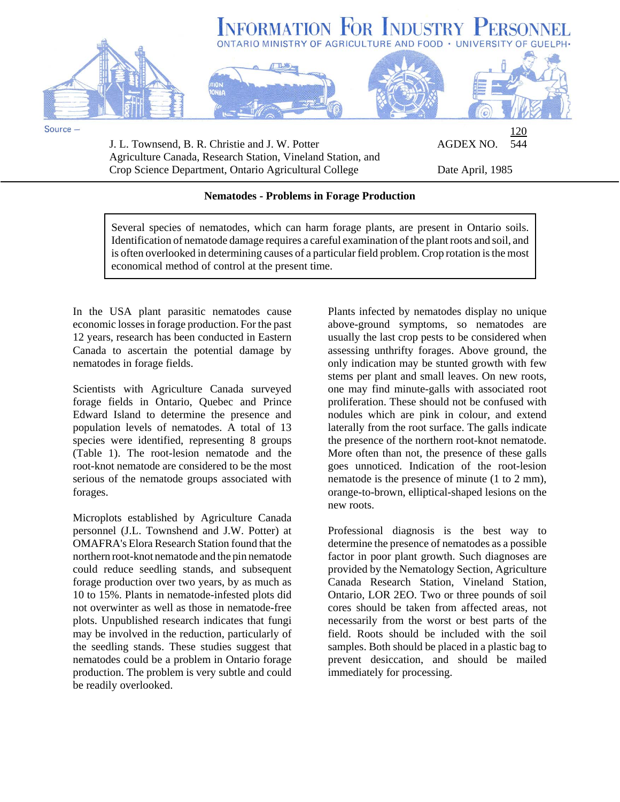

J. L. Townsend, B. R. Christie and J. W. Potter **AGDEX NO.** 544 Agriculture Canada, Research Station, Vineland Station, and Crop Science Department, Ontario Agricultural College Date April, 1985

## **Nematodes - Problems in Forage Production**

Several species of nematodes, which can harm forage plants, are present in Ontario soils. Identification of nematode damage requires a careful examination of the plant roots and soil, and is often overlooked in determining causes of a particular field problem. Crop rotation is the most economical method of control at the present time.

In the USA plant parasitic nematodes cause economic losses in forage production. For the past 12 years, research has been conducted in Eastern Canada to ascertain the potential damage by nematodes in forage fields.

Scientists with Agriculture Canada surveyed forage fields in Ontario, Quebec and Prince Edward Island to determine the presence and population levels of nematodes. A total of 13 species were identified, representing 8 groups (Table 1). The root-lesion nematode and the root-knot nematode are considered to be the most serious of the nematode groups associated with forages.

Microplots established by Agriculture Canada personnel (J.L. Townshend and J.W. Potter) at OMAFRA's Elora Research Station found that the northern root-knot nematode and the pin nematode could reduce seedling stands, and subsequent forage production over two years, by as much as 10 to 15%. Plants in nematode-infested plots did not overwinter as well as those in nematode-free plots. Unpublished research indicates that fungi may be involved in the reduction, particularly of the seedling stands. These studies suggest that nematodes could be a problem in Ontario forage production. The problem is very subtle and could be readily overlooked.

Plants infected by nematodes display no unique above-ground symptoms, so nematodes are usually the last crop pests to be considered when assessing unthrifty forages. Above ground, the only indication may be stunted growth with few stems per plant and small leaves. On new roots, one may find minute-galls with associated root proliferation. These should not be confused with nodules which are pink in colour, and extend laterally from the root surface. The galls indicate the presence of the northern root-knot nematode. More often than not, the presence of these galls goes unnoticed. Indication of the root-lesion nematode is the presence of minute (1 to 2 mm), orange-to-brown, elliptical-shaped lesions on the new roots.

Professional diagnosis is the best way to determine the presence of nematodes as a possible factor in poor plant growth. Such diagnoses are provided by the Nematology Section, Agriculture Canada Research Station, Vineland Station, Ontario, LOR 2EO. Two or three pounds of soil cores should be taken from affected areas, not necessarily from the worst or best parts of the field. Roots should be included with the soil samples. Both should be placed in a plastic bag to prevent desiccation, and should be mailed immediately for processing.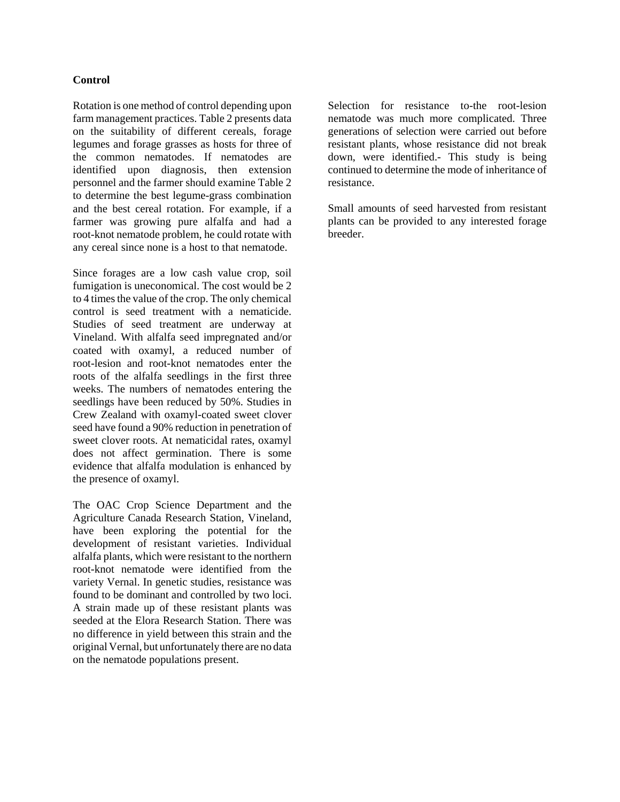## **Control**

Rotation is one method of control depending upon farm management practices. Table 2 presents data on the suitability of different cereals, forage legumes and forage grasses as hosts for three of the common nematodes. If nematodes are identified upon diagnosis, then extension personnel and the farmer should examine Table 2 to determine the best legume-grass combination and the best cereal rotation. For example, if a farmer was growing pure alfalfa and had a root-knot nematode problem, he could rotate with any cereal since none is a host to that nematode.

Since forages are a low cash value crop, soil fumigation is uneconomical. The cost would be 2 to 4 times the value of the crop. The only chemical control is seed treatment with a nematicide. Studies of seed treatment are underway at Vineland. With alfalfa seed impregnated and/or coated with oxamyl, a reduced number of root-lesion and root-knot nematodes enter the roots of the alfalfa seedlings in the first three weeks. The numbers of nematodes entering the seedlings have been reduced by 50%. Studies in Crew Zealand with oxamyl-coated sweet clover seed have found a 90% reduction in penetration of sweet clover roots. At nematicidal rates, oxamyl does not affect germination. There is some evidence that alfalfa modulation is enhanced by the presence of oxamyl.

The OAC Crop Science Department and the Agriculture Canada Research Station, Vineland, have been exploring the potential for the development of resistant varieties. Individual alfalfa plants, which were resistant to the northern root-knot nematode were identified from the variety Vernal. In genetic studies, resistance was found to be dominant and controlled by two loci. A strain made up of these resistant plants was seeded at the Elora Research Station. There was no difference in yield between this strain and the original Vernal, but unfortunately there are no data on the nematode populations present.

Selection for resistance to-the root-lesion nematode was much more complicated. Three generations of selection were carried out before resistant plants, whose resistance did not break down, were identified.- This study is being continued to determine the mode of inheritance of resistance.

Small amounts of seed harvested from resistant plants can be provided to any interested forage breeder.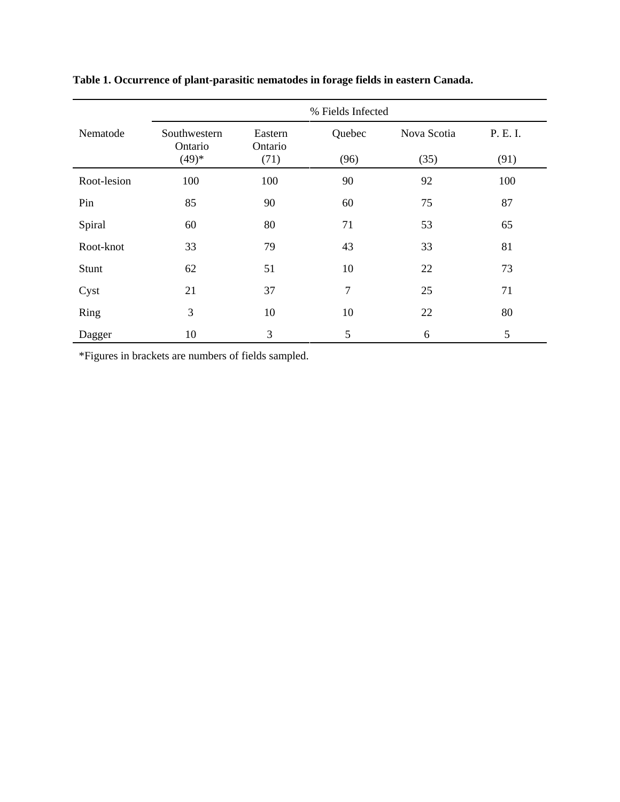|             | % Fields Infected       |                    |        |             |          |  |  |  |  |
|-------------|-------------------------|--------------------|--------|-------------|----------|--|--|--|--|
| Nematode    | Southwestern<br>Ontario | Eastern<br>Ontario | Quebec | Nova Scotia | P. E. I. |  |  |  |  |
|             | $(49)*$                 | (71)               | (96)   | (35)        | (91)     |  |  |  |  |
| Root-lesion | 100                     | 100                | 90     | 92          | 100      |  |  |  |  |
| Pin         | 85                      | 90                 | 60     | 75          | 87       |  |  |  |  |
| Spiral      | 60                      | 80                 | 71     | 53          | 65       |  |  |  |  |
| Root-knot   | 33                      | 79                 | 43     | 33          | 81       |  |  |  |  |
| Stunt       | 62                      | 51                 | 10     | 22          | 73       |  |  |  |  |
| Cyst        | 21                      | 37                 | 7      | 25          | 71       |  |  |  |  |
| Ring        | 3                       | 10                 | 10     | 22          | 80       |  |  |  |  |
| Dagger      | 10                      | 3                  | 5      | 6           | 5        |  |  |  |  |

**Table 1. Occurrence of plant-parasitic nematodes in forage fields in eastern Canada.**

\*Figures in brackets are numbers of fields sampled.